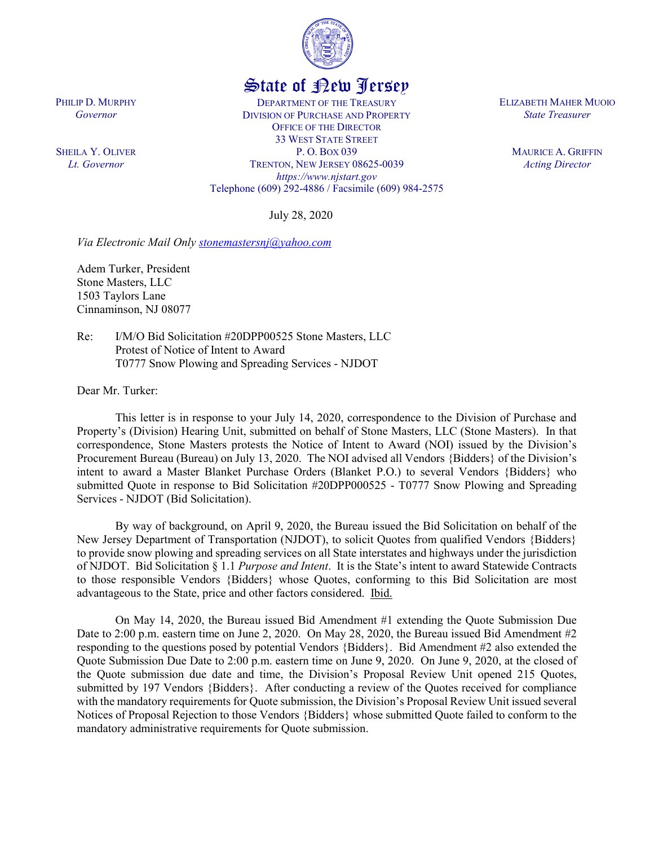

## State of New Jersey

DEPARTMENT OF THE TREASURY DIVISION OF PURCHASE AND PROPERTY OFFICE OF THE DIRECTOR 33 WEST STATE STREET P. O. BOX 039 TRENTON, NEW JERSEY 08625-0039 *https://www.njstart.gov* Telephone (609) 292-4886 / Facsimile (609) 984-2575

July 28, 2020

*Via Electronic Mail Only [stonemastersnj@yahoo.com](mailto:stonemastersnj@yahoo.com)*

Adem Turker, President Stone Masters, LLC 1503 Taylors Lane Cinnaminson, NJ 08077

PHILIP D. MURPHY *Governor*

SHEILA Y. OLIVER *Lt. Governor*

> Re: I/M/O Bid Solicitation #20DPP00525 Stone Masters, LLC Protest of Notice of Intent to Award T0777 Snow Plowing and Spreading Services - NJDOT

Dear Mr. Turker:

This letter is in response to your July 14, 2020, correspondence to the Division of Purchase and Property's (Division) Hearing Unit, submitted on behalf of Stone Masters, LLC (Stone Masters). In that correspondence, Stone Masters protests the Notice of Intent to Award (NOI) issued by the Division's Procurement Bureau (Bureau) on July 13, 2020. The NOI advised all Vendors {Bidders} of the Division's intent to award a Master Blanket Purchase Orders (Blanket P.O.) to several Vendors {Bidders} who submitted Quote in response to Bid Solicitation #20DPP000525 - T0777 Snow Plowing and Spreading Services - NJDOT (Bid Solicitation).

By way of background, on April 9, 2020, the Bureau issued the Bid Solicitation on behalf of the New Jersey Department of Transportation (NJDOT), to solicit Quotes from qualified Vendors {Bidders} to provide snow plowing and spreading services on all State interstates and highways under the jurisdiction of NJDOT. Bid Solicitation § 1.1 *Purpose and Intent*. It is the State's intent to award Statewide Contracts to those responsible Vendors {Bidders} whose Quotes, conforming to this Bid Solicitation are most advantageous to the State, price and other factors considered. Ibid.

On May 14, 2020, the Bureau issued Bid Amendment #1 extending the Quote Submission Due Date to 2:00 p.m. eastern time on June 2, 2020. On May 28, 2020, the Bureau issued Bid Amendment #2 responding to the questions posed by potential Vendors {Bidders}. Bid Amendment #2 also extended the Quote Submission Due Date to 2:00 p.m. eastern time on June 9, 2020. On June 9, 2020, at the closed of the Quote submission due date and time, the Division's Proposal Review Unit opened 215 Quotes, submitted by 197 Vendors {Bidders}. After conducting a review of the Quotes received for compliance with the mandatory requirements for Quote submission, the Division's Proposal Review Unit issued several Notices of Proposal Rejection to those Vendors {Bidders} whose submitted Quote failed to conform to the mandatory administrative requirements for Quote submission.

ELIZABETH MAHER MUOIO *State Treasurer*

> MAURICE A. GRIFFIN *Acting Director*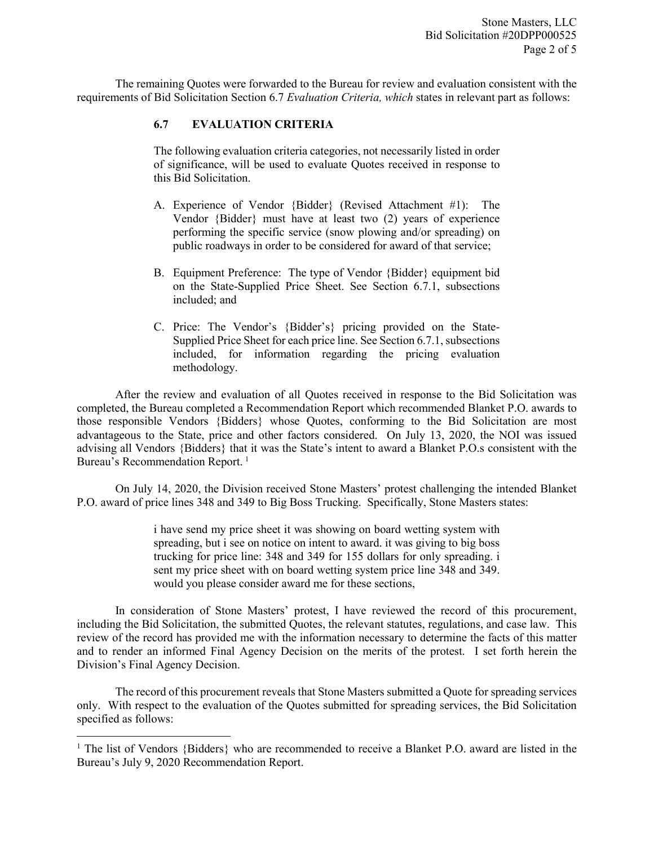The remaining Quotes were forwarded to the Bureau for review and evaluation consistent with the requirements of Bid Solicitation Section 6.7 *Evaluation Criteria, which* states in relevant part as follows:

## **6.7 EVALUATION CRITERIA**

The following evaluation criteria categories, not necessarily listed in order of significance, will be used to evaluate Quotes received in response to this Bid Solicitation.

- A. Experience of Vendor {Bidder} (Revised Attachment #1): The Vendor {Bidder} must have at least two (2) years of experience performing the specific service (snow plowing and/or spreading) on public roadways in order to be considered for award of that service;
- B. Equipment Preference: The type of Vendor {Bidder} equipment bid on the State-Supplied Price Sheet. See Section 6.7.1, subsections included; and
- C. Price: The Vendor's {Bidder's} pricing provided on the State-Supplied Price Sheet for each price line. See Section 6.7.1, subsections included, for information regarding the pricing evaluation methodology.

After the review and evaluation of all Quotes received in response to the Bid Solicitation was completed, the Bureau completed a Recommendation Report which recommended Blanket P.O. awards to those responsible Vendors {Bidders} whose Quotes, conforming to the Bid Solicitation are most advantageous to the State, price and other factors considered. On July 13, 2020, the NOI was issued advising all Vendors {Bidders} that it was the State's intent to award a Blanket P.O.s consistent with the Bureau's Recommendation Report.<sup>[1](#page-1-0)</sup>

On July 14, 2020, the Division received Stone Masters' protest challenging the intended Blanket P.O. award of price lines 348 and 349 to Big Boss Trucking. Specifically, Stone Masters states:

> i have send my price sheet it was showing on board wetting system with spreading, but i see on notice on intent to award. it was giving to big boss trucking for price line: 348 and 349 for 155 dollars for only spreading. i sent my price sheet with on board wetting system price line 348 and 349. would you please consider award me for these sections,

In consideration of Stone Masters' protest, I have reviewed the record of this procurement, including the Bid Solicitation, the submitted Quotes, the relevant statutes, regulations, and case law. This review of the record has provided me with the information necessary to determine the facts of this matter and to render an informed Final Agency Decision on the merits of the protest. I set forth herein the Division's Final Agency Decision.

The record of this procurement reveals that Stone Masters submitted a Quote for spreading services only. With respect to the evaluation of the Quotes submitted for spreading services, the Bid Solicitation specified as follows:

l

<span id="page-1-0"></span><sup>&</sup>lt;sup>1</sup> The list of Vendors {Bidders} who are recommended to receive a Blanket P.O. award are listed in the Bureau's July 9, 2020 Recommendation Report.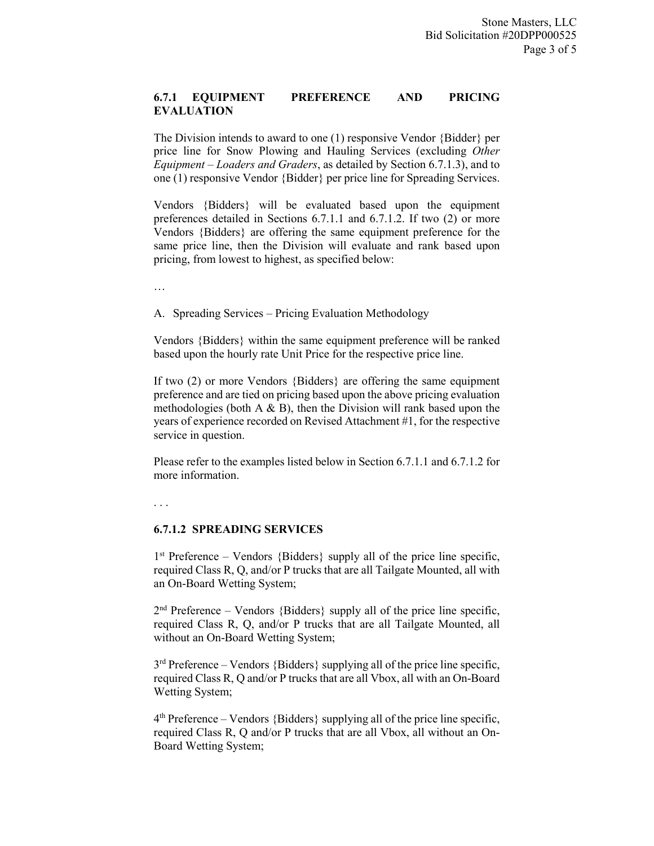## **6.7.1 EQUIPMENT PREFERENCE AND PRICING EVALUATION**

The Division intends to award to one (1) responsive Vendor {Bidder} per price line for Snow Plowing and Hauling Services (excluding *Other Equipment – Loaders and Graders*, as detailed by Section 6.7.1.3), and to one (1) responsive Vendor {Bidder} per price line for Spreading Services.

Vendors {Bidders} will be evaluated based upon the equipment preferences detailed in Sections 6.7.1.1 and 6.7.1.2. If two (2) or more Vendors {Bidders} are offering the same equipment preference for the same price line, then the Division will evaluate and rank based upon pricing, from lowest to highest, as specified below:

…

A. Spreading Services – Pricing Evaluation Methodology

Vendors {Bidders} within the same equipment preference will be ranked based upon the hourly rate Unit Price for the respective price line.

If two (2) or more Vendors {Bidders} are offering the same equipment preference and are tied on pricing based upon the above pricing evaluation methodologies (both  $A \& B$ ), then the Division will rank based upon the years of experience recorded on Revised Attachment #1, for the respective service in question.

Please refer to the examples listed below in Section 6.7.1.1 and 6.7.1.2 for more information.

. . .

## **6.7.1.2 SPREADING SERVICES**

 $1<sup>st</sup>$  Preference – Vendors {Bidders} supply all of the price line specific, required Class R, Q, and/or P trucks that are all Tailgate Mounted, all with an On-Board Wetting System;

 $2<sup>nd</sup>$  Preference – Vendors {Bidders} supply all of the price line specific, required Class R, Q, and/or P trucks that are all Tailgate Mounted, all without an On-Board Wetting System;

 $3<sup>rd</sup>$  Preference – Vendors {Bidders} supplying all of the price line specific, required Class R, Q and/or P trucks that are all Vbox, all with an On-Board Wetting System;

 $4<sup>th</sup>$  Preference – Vendors {Bidders} supplying all of the price line specific, required Class R, Q and/or P trucks that are all Vbox, all without an On-Board Wetting System;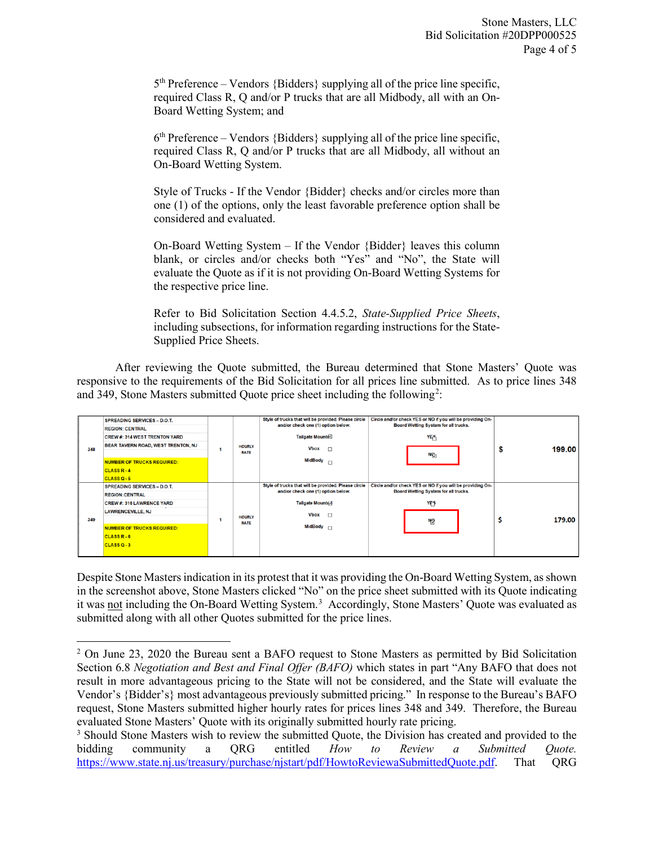$5<sup>th</sup>$  Preference – Vendors {Bidders} supplying all of the price line specific, required Class R, Q and/or P trucks that are all Midbody, all with an On-Board Wetting System; and

 $6<sup>th</sup>$  Preference – Vendors {Bidders} supplying all of the price line specific, required Class R, Q and/or P trucks that are all Midbody, all without an On-Board Wetting System.

Style of Trucks - If the Vendor {Bidder} checks and/or circles more than one (1) of the options, only the least favorable preference option shall be considered and evaluated.

On-Board Wetting System – If the Vendor {Bidder} leaves this column blank, or circles and/or checks both "Yes" and "No", the State will evaluate the Quote as if it is not providing On-Board Wetting Systems for the respective price line.

Refer to Bid Solicitation Section 4.4.5.2, *State-Supplied Price Sheets*, including subsections, for information regarding instructions for the State-Supplied Price Sheets.

After reviewing the Quote submitted, the Bureau determined that Stone Masters' Quote was responsive to the requirements of the Bid Solicitation for all prices line submitted. As to price lines 348 and 349, Stone Masters submitted Quote price sheet including the following<sup>[2](#page-3-0)</sup>:

| 348 | <b>SPREADING SERVICES - D.O.T.</b><br><b>REGION: CENTRAL</b><br><b>CREW #: 314 WEST TRENTON YARD</b><br>BEAR TAVERN ROAD, WEST TRENTON, NJ<br><b>NUMBER OF TRUCKS REQUIRED:</b><br><b>CLASS R-4</b><br><b>CLASS Q-5</b> | <b>HOURLY</b><br><b>RATE</b> | Style of trucks that will be provided. Please circle<br>and/or check one (1) option below.<br>Tailgate Mounte<br><b>Vbox</b><br>$\Box$<br>MidBody <sub>D</sub> | Circle and/or check YES or NO if you will be providing On-<br>Board Wetting System for all trucks.<br>YES<br>$N_{\odot}$ | 199.00<br>ъ  |
|-----|-------------------------------------------------------------------------------------------------------------------------------------------------------------------------------------------------------------------------|------------------------------|----------------------------------------------------------------------------------------------------------------------------------------------------------------|--------------------------------------------------------------------------------------------------------------------------|--------------|
| 349 | <b>SPREADING SERVICES - D.O.T.</b><br><b>REGION: CENTRAL</b><br><b>CREW #: 316 LAWRENCE YARD</b><br><b>LAWRENCEVILLE, NJ</b><br><b>NUMBER OF TRUCKS REQUIRED:</b><br><b>CLASS R-6</b><br><b>CLASS Q-3</b>               | <b>HOURLY</b><br><b>RATE</b> | Style of trucks that will be provided. Please circle<br>and/or check one (1) option below.<br>Tailgate Mount(v)<br><b>Vbox</b><br>$\Box$<br>MidBody $\Box$     | Circle and/or check YES or NO if you will be providing On-<br>Board Wetting System for all trucks.<br>YES<br>Nθ          | \$<br>179.00 |

Despite Stone Masters indication in its protest that it was providing the On-Board Wetting System, as shown in the screenshot above, Stone Masters clicked "No" on the price sheet submitted with its Quote indicating it was not including the On-Board Wetting System.<sup>[3](#page-3-1)</sup> Accordingly, Stone Masters' Quote was evaluated as submitted along with all other Quotes submitted for the price lines.

l

<span id="page-3-0"></span> $2$  On June 23, 2020 the Bureau sent a BAFO request to Stone Masters as permitted by Bid Solicitation Section 6.8 *Negotiation and Best and Final Offer (BAFO)* which states in part "Any BAFO that does not result in more advantageous pricing to the State will not be considered, and the State will evaluate the Vendor's {Bidder's} most advantageous previously submitted pricing." In response to the Bureau's BAFO request, Stone Masters submitted higher hourly rates for prices lines 348 and 349. Therefore, the Bureau evaluated Stone Masters' Quote with its originally submitted hourly rate pricing.

<span id="page-3-1"></span><sup>&</sup>lt;sup>3</sup> Should Stone Masters wish to review the submitted Quote, the Division has created and provided to the bidding community a QRG entitled *How to Review a Submitted Quote.*  [https://www.state.nj.us/treasury/purchase/njstart/pdf/HowtoReviewaSubmittedQuote.pdf.](https://www.state.nj.us/treasury/purchase/njstart/pdf/HowtoReviewaSubmittedQuote.pdf) That QRG